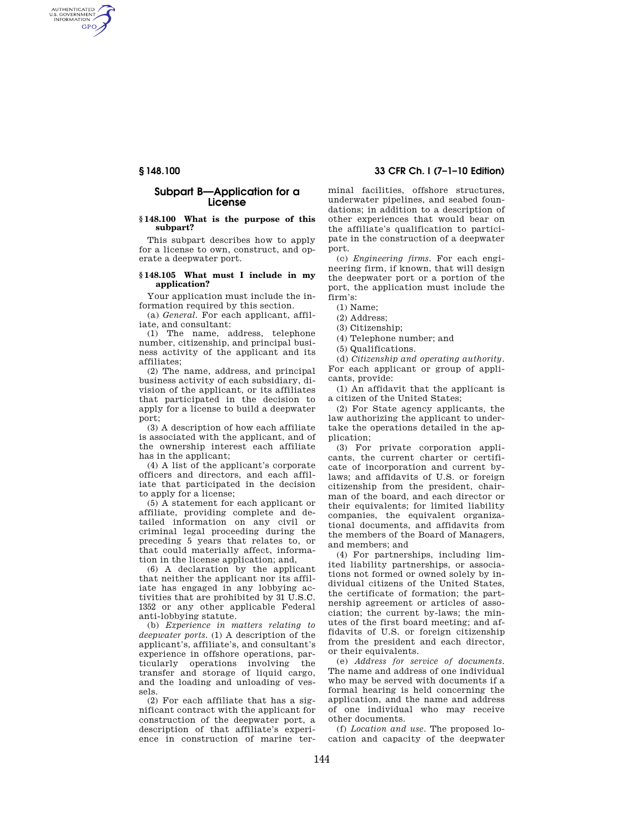AUTHENTICATED<br>U.S. GOVERNMENT<br>INFORMATION **GPO** 

## **Subpart B—Application for a License**

#### **§ 148.100 What is the purpose of this subpart?**

This subpart describes how to apply for a license to own, construct, and operate a deepwater port.

#### **§ 148.105 What must I include in my application?**

Your application must include the information required by this section.

(a) *General.* For each applicant, affiliate, and consultant:

(1) The name, address, telephone number, citizenship, and principal business activity of the applicant and its affiliates;

(2) The name, address, and principal business activity of each subsidiary, division of the applicant, or its affiliates that participated in the decision to apply for a license to build a deepwater port;

(3) A description of how each affiliate is associated with the applicant, and of the ownership interest each affiliate has in the applicant;

(4) A list of the applicant's corporate officers and directors, and each affiliate that participated in the decision to apply for a license;

(5) A statement for each applicant or affiliate, providing complete and detailed information on any civil or criminal legal proceeding during the preceding 5 years that relates to, or that could materially affect, information in the license application; and,

(6) A declaration by the applicant that neither the applicant nor its affiliate has engaged in any lobbying activities that are prohibited by 31 U.S.C. 1352 or any other applicable Federal anti-lobbying statute.

(b) *Experience in matters relating to deepwater ports.* (1) A description of the applicant's, affiliate's, and consultant's experience in offshore operations, particularly operations involving the transfer and storage of liquid cargo, and the loading and unloading of vessels.

(2) For each affiliate that has a significant contract with the applicant for construction of the deepwater port, a description of that affiliate's experience in construction of marine ter-

**§ 148.100 33 CFR Ch. I (7–1–10 Edition)** 

minal facilities, offshore structures, underwater pipelines, and seabed foundations; in addition to a description of other experiences that would bear on the affiliate's qualification to participate in the construction of a deepwater port.

(c) *Engineering firms.* For each engineering firm, if known, that will design the deepwater port or a portion of the port, the application must include the firm's:

(1) Name;

(2) Address;

(3) Citizenship;

(4) Telephone number; and

(5) Qualifications.

(d) *Citizenship and operating authority.*  For each applicant or group of applicants, provide:

(1) An affidavit that the applicant is a citizen of the United States;

(2) For State agency applicants, the law authorizing the applicant to undertake the operations detailed in the application;

(3) For private corporation applicants, the current charter or certificate of incorporation and current bylaws; and affidavits of U.S. or foreign citizenship from the president, chairman of the board, and each director or their equivalents; for limited liability companies, the equivalent organizational documents, and affidavits from the members of the Board of Managers, and members; and

(4) For partnerships, including limited liability partnerships, or associations not formed or owned solely by individual citizens of the United States, the certificate of formation; the partnership agreement or articles of association; the current by-laws; the minutes of the first board meeting; and affidavits of U.S. or foreign citizenship from the president and each director, or their equivalents.

(e) *Address for service of documents.*  The name and address of one individual who may be served with documents if a formal hearing is held concerning the application, and the name and address of one individual who may receive other documents.

(f) *Location and use.* The proposed location and capacity of the deepwater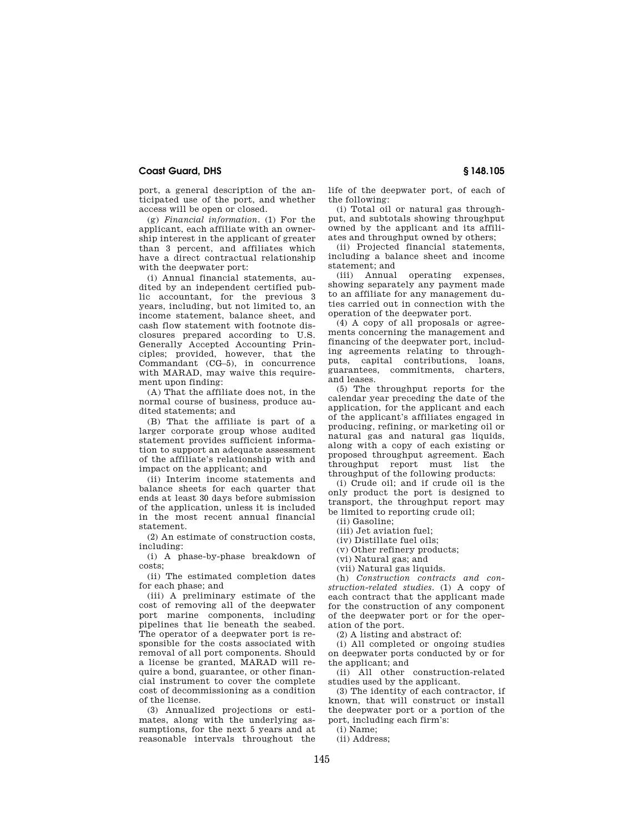## **Coast Guard, DHS § 148.105**

port, a general description of the anticipated use of the port, and whether access will be open or closed.

(g) *Financial information.* (1) For the applicant, each affiliate with an ownership interest in the applicant of greater than 3 percent, and affiliates which have a direct contractual relationship with the deepwater port:

(i) Annual financial statements, audited by an independent certified public accountant, for the previous 3 years, including, but not limited to, an income statement, balance sheet, and cash flow statement with footnote disclosures prepared according to U.S. Generally Accepted Accounting Principles; provided, however, that the Commandant (CG–5), in concurrence with MARAD, may waive this requirement upon finding:

(A) That the affiliate does not, in the normal course of business, produce audited statements; and

(B) That the affiliate is part of a larger corporate group whose audited statement provides sufficient information to support an adequate assessment of the affiliate's relationship with and impact on the applicant; and

(ii) Interim income statements and balance sheets for each quarter that ends at least 30 days before submission of the application, unless it is included in the most recent annual financial statement.

(2) An estimate of construction costs, including:

(i) A phase-by-phase breakdown of costs;

(ii) The estimated completion dates for each phase; and

(iii) A preliminary estimate of the cost of removing all of the deepwater port marine components, including pipelines that lie beneath the seabed. The operator of a deepwater port is responsible for the costs associated with removal of all port components. Should a license be granted, MARAD will require a bond, guarantee, or other financial instrument to cover the complete cost of decommissioning as a condition of the license.

(3) Annualized projections or estimates, along with the underlying assumptions, for the next 5 years and at reasonable intervals throughout the life of the deepwater port, of each of the following:

(i) Total oil or natural gas throughput, and subtotals showing throughput owned by the applicant and its affiliates and throughput owned by others;

(ii) Projected financial statements, including a balance sheet and income statement; and<br>(iii) Annual

operating expenses. showing separately any payment made to an affiliate for any management duties carried out in connection with the operation of the deepwater port.

(4) A copy of all proposals or agreements concerning the management and financing of the deepwater port, including agreements relating to throughputs, capital contributions, loans, guarantees, commitments, charters, and leases.

(5) The throughput reports for the calendar year preceding the date of the application, for the applicant and each of the applicant's affiliates engaged in producing, refining, or marketing oil or natural gas and natural gas liquids, along with a copy of each existing or proposed throughput agreement. Each throughput report must list the throughput of the following products:

(i) Crude oil; and if crude oil is the only product the port is designed to transport, the throughput report may be limited to reporting crude oil;

(ii) Gasoline;

(iii) Jet aviation fuel;

(iv) Distillate fuel oils;

(v) Other refinery products;

(vi) Natural gas; and

(vii) Natural gas liquids.

(h) *Construction contracts and construction-related studies.* (1) A copy of each contract that the applicant made for the construction of any component of the deepwater port or for the operation of the port.

(2) A listing and abstract of:

(i) All completed or ongoing studies on deepwater ports conducted by or for the applicant; and

(ii) All other construction-related studies used by the applicant.

(3) The identity of each contractor, if known, that will construct or install the deepwater port or a portion of the port, including each firm's:

(i) Name; (ii) Address;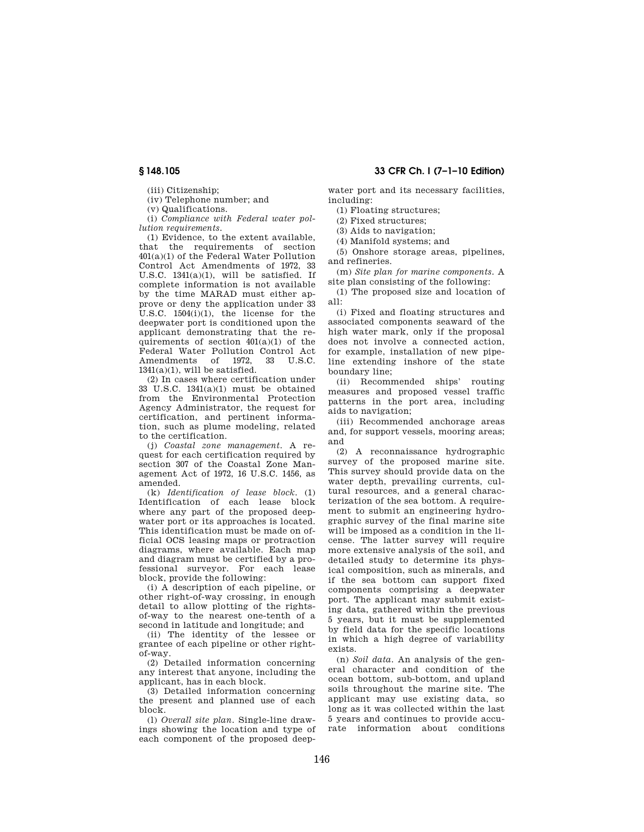(iii) Citizenship;

(iv) Telephone number; and

(v) Qualifications.

(i) *Compliance with Federal water pollution requirements*.

(1) Evidence, to the extent available, that the requirements of section 401(a)(1) of the Federal Water Pollution Control Act Amendments of 1972, 33 U.S.C. 1341(a)(1), will be satisfied. If complete information is not available by the time MARAD must either approve or deny the application under 33 U.S.C. 1504(i)(1), the license for the deepwater port is conditioned upon the applicant demonstrating that the requirements of section  $401(a)(1)$  of the Federal Water Pollution Control Act Amendments of 1972, 33  $1341(a)(1)$ , will be satisfied.

(2) In cases where certification under  $33 \text{ U.S.C. } 1341(a)(1) \text{ must be obtained}$ from the Environmental Protection Agency Administrator, the request for certification, and pertinent information, such as plume modeling, related to the certification.

(j) *Coastal zone management*. A request for each certification required by section 307 of the Coastal Zone Management Act of 1972, 16 U.S.C. 1456, as amended.

(k) *Identification of lease block*. (1) Identification of each lease block where any part of the proposed deepwater port or its approaches is located. This identification must be made on official OCS leasing maps or protraction diagrams, where available. Each map and diagram must be certified by a professional surveyor. For each lease block, provide the following:

(i) A description of each pipeline, or other right-of-way crossing, in enough detail to allow plotting of the rightsof-way to the nearest one-tenth of a second in latitude and longitude; and

(ii) The identity of the lessee or grantee of each pipeline or other rightof-way.

(2) Detailed information concerning any interest that anyone, including the applicant, has in each block.

(3) Detailed information concerning the present and planned use of each block.

(l) *Overall site plan*. Single-line drawings showing the location and type of each component of the proposed deep-

# **§ 148.105 33 CFR Ch. I (7–1–10 Edition)**

water port and its necessary facilities, including:

(1) Floating structures;

(2) Fixed structures;

(3) Aids to navigation;

(4) Manifold systems; and

(5) Onshore storage areas, pipelines, and refineries.

(m) *Site plan for marine components*. A site plan consisting of the following:

(1) The proposed size and location of all:

(i) Fixed and floating structures and associated components seaward of the high water mark, only if the proposal does not involve a connected action, for example, installation of new pipeline extending inshore of the state boundary line;

(ii) Recommended ships' routing measures and proposed vessel traffic patterns in the port area, including aids to navigation;

(iii) Recommended anchorage areas and, for support vessels, mooring areas; and

(2) A reconnaissance hydrographic survey of the proposed marine site. This survey should provide data on the water depth, prevailing currents, cultural resources, and a general characterization of the sea bottom. A requirement to submit an engineering hydrographic survey of the final marine site will be imposed as a condition in the license. The latter survey will require more extensive analysis of the soil, and detailed study to determine its physical composition, such as minerals, and if the sea bottom can support fixed components comprising a deepwater port. The applicant may submit existing data, gathered within the previous 5 years, but it must be supplemented by field data for the specific locations in which a high degree of variability exists.

(n) *Soil data*. An analysis of the general character and condition of the ocean bottom, sub-bottom, and upland soils throughout the marine site. The applicant may use existing data, so long as it was collected within the last 5 years and continues to provide accurate information about conditions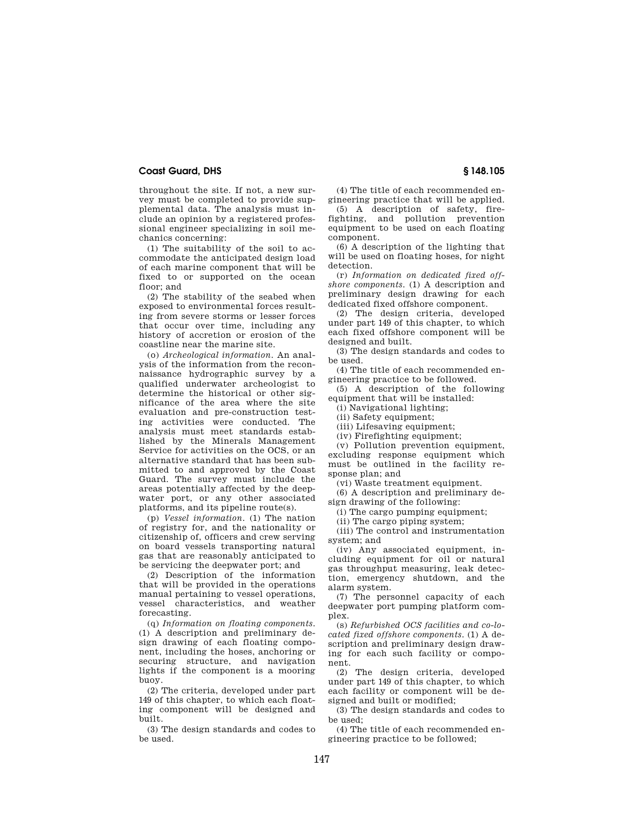## **Coast Guard, DHS § 148.105**

throughout the site. If not, a new survey must be completed to provide supplemental data. The analysis must include an opinion by a registered professional engineer specializing in soil mechanics concerning:

(1) The suitability of the soil to accommodate the anticipated design load of each marine component that will be fixed to or supported on the ocean floor; and

(2) The stability of the seabed when exposed to environmental forces resulting from severe storms or lesser forces that occur over time, including any history of accretion or erosion of the coastline near the marine site.

(o) *Archeological information*. An analysis of the information from the reconnaissance hydrographic survey by a qualified underwater archeologist to determine the historical or other significance of the area where the site evaluation and pre-construction testing activities were conducted. The analysis must meet standards established by the Minerals Management Service for activities on the OCS, or an alternative standard that has been submitted to and approved by the Coast Guard. The survey must include the areas potentially affected by the deepwater port, or any other associated platforms, and its pipeline route(s).

(p) *Vessel information*. (1) The nation of registry for, and the nationality or citizenship of, officers and crew serving on board vessels transporting natural gas that are reasonably anticipated to be servicing the deepwater port; and

(2) Description of the information that will be provided in the operations manual pertaining to vessel operations, vessel characteristics, and weather forecasting.

(q) *Information on floating components*. (1) A description and preliminary design drawing of each floating component, including the hoses, anchoring or securing structure, and navigation lights if the component is a mooring buoy.

(2) The criteria, developed under part 149 of this chapter, to which each floating component will be designed and built.

(3) The design standards and codes to be used.

(4) The title of each recommended engineering practice that will be applied.

(5) A description of safety, firefighting, and pollution prevention equipment to be used on each floating component.

(6) A description of the lighting that will be used on floating hoses, for night detection.

(r) *Information on dedicated fixed offshore components*. (1) A description and preliminary design drawing for each dedicated fixed offshore component.

(2) The design criteria, developed under part 149 of this chapter, to which each fixed offshore component will be designed and built.

(3) The design standards and codes to be used.

(4) The title of each recommended engineering practice to be followed.

(5) A description of the following equipment that will be installed:

(i) Navigational lighting;

(ii) Safety equipment;

(iii) Lifesaving equipment;

(iv) Firefighting equipment;

(v) Pollution prevention equipment,

excluding response equipment which must be outlined in the facility response plan; and

(vi) Waste treatment equipment.

(6) A description and preliminary design drawing of the following:

(i) The cargo pumping equipment;

(ii) The cargo piping system;

(iii) The control and instrumentation system; and

(iv) Any associated equipment, including equipment for oil or natural gas throughput measuring, leak detection, emergency shutdown, and the alarm system.

(7) The personnel capacity of each deepwater port pumping platform complex.

(s) *Refurbished OCS facilities and co-located fixed offshore components*. (1) A description and preliminary design drawing for each such facility or component.

(2) The design criteria, developed under part 149 of this chapter, to which each facility or component will be designed and built or modified;

(3) The design standards and codes to be used;

(4) The title of each recommended engineering practice to be followed;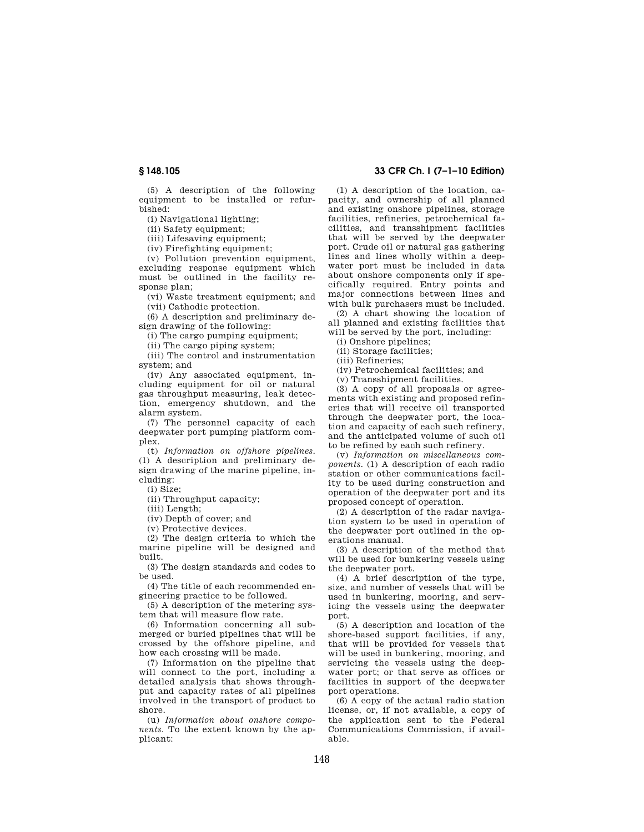(5) A description of the following equipment to be installed or refurbished:

(i) Navigational lighting;

(ii) Safety equipment;

(iii) Lifesaving equipment;

(iv) Firefighting equipment;

(v) Pollution prevention equipment, excluding response equipment which must be outlined in the facility response plan;

(vi) Waste treatment equipment; and (vii) Cathodic protection.

(6) A description and preliminary design drawing of the following:

(i) The cargo pumping equipment;

(ii) The cargo piping system;

(iii) The control and instrumentation system; and

(iv) Any associated equipment, including equipment for oil or natural gas throughput measuring, leak detection, emergency shutdown, and the alarm system.

(7) The personnel capacity of each deepwater port pumping platform complex.

(t) *Information on offshore pipelines*. (1) A description and preliminary design drawing of the marine pipeline, including:

(i) Size; (ii) Throughput capacity;

(iii) Length;

(iv) Depth of cover; and

(v) Protective devices.

(2) The design criteria to which the marine pipeline will be designed and built.

(3) The design standards and codes to be used.

(4) The title of each recommended engineering practice to be followed.

(5) A description of the metering system that will measure flow rate.

(6) Information concerning all submerged or buried pipelines that will be crossed by the offshore pipeline, and how each crossing will be made.

(7) Information on the pipeline that will connect to the port, including a detailed analysis that shows throughput and capacity rates of all pipelines involved in the transport of product to shore.

(u) *Information about onshore components.* To the extent known by the applicant:

## **§ 148.105 33 CFR Ch. I (7–1–10 Edition)**

(1) A description of the location, capacity, and ownership of all planned and existing onshore pipelines, storage facilities, refineries, petrochemical facilities, and transshipment facilities that will be served by the deepwater port. Crude oil or natural gas gathering lines and lines wholly within a deepwater port must be included in data about onshore components only if specifically required. Entry points and major connections between lines and with bulk purchasers must be included.

(2) A chart showing the location of all planned and existing facilities that will be served by the port, including:

(i) Onshore pipelines;

(ii) Storage facilities;

(iii) Refineries;

(iv) Petrochemical facilities; and

(v) Transshipment facilities.

(3) A copy of all proposals or agreements with existing and proposed refineries that will receive oil transported through the deepwater port, the location and capacity of each such refinery, and the anticipated volume of such oil to be refined by each such refinery.

(v) *Information on miscellaneous components.* (1) A description of each radio station or other communications facility to be used during construction and operation of the deepwater port and its proposed concept of operation.

(2) A description of the radar navigation system to be used in operation of the deepwater port outlined in the operations manual.

(3) A description of the method that will be used for bunkering vessels using the deepwater port.

(4) A brief description of the type, size, and number of vessels that will be used in bunkering, mooring, and servicing the vessels using the deepwater port.

(5) A description and location of the shore-based support facilities, if any, that will be provided for vessels that will be used in bunkering, mooring, and servicing the vessels using the deepwater port; or that serve as offices or facilities in support of the deepwater port operations.

(6) A copy of the actual radio station license, or, if not available, a copy of the application sent to the Federal Communications Commission, if available.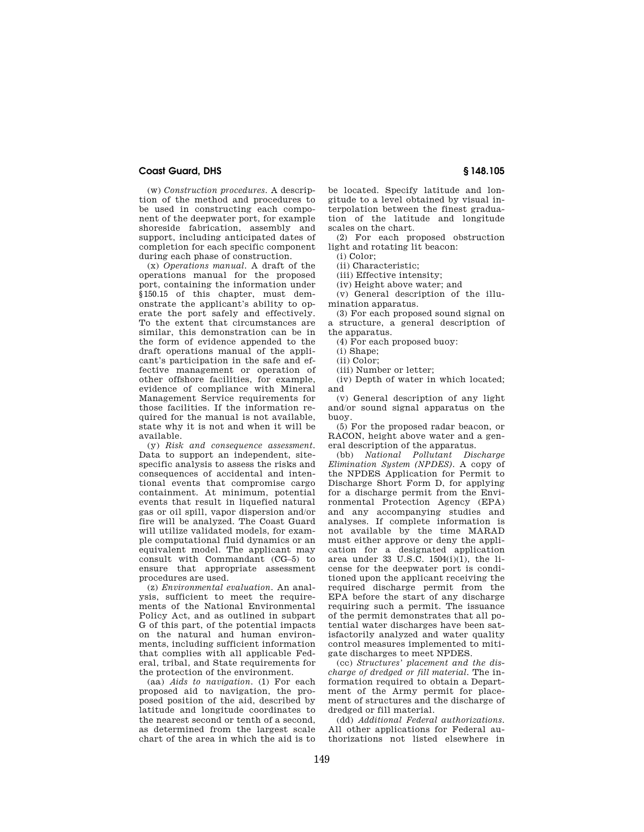## **Coast Guard, DHS § 148.105**

(w) *Construction procedures.* A description of the method and procedures to be used in constructing each component of the deepwater port, for example shoreside fabrication, assembly and support, including anticipated dates of completion for each specific component during each phase of construction.

(x) *Operations manual.* A draft of the operations manual for the proposed port, containing the information under §150.15 of this chapter, must demonstrate the applicant's ability to operate the port safely and effectively. To the extent that circumstances are similar, this demonstration can be in the form of evidence appended to the draft operations manual of the applicant's participation in the safe and effective management or operation of other offshore facilities, for example, evidence of compliance with Mineral Management Service requirements for those facilities. If the information required for the manual is not available, state why it is not and when it will be available.

(y) *Risk and consequence assessment.*  Data to support an independent, sitespecific analysis to assess the risks and consequences of accidental and intentional events that compromise cargo containment. At minimum, potential events that result in liquefied natural gas or oil spill, vapor dispersion and/or fire will be analyzed. The Coast Guard will utilize validated models, for example computational fluid dynamics or an equivalent model. The applicant may consult with Commandant (CG–5) to ensure that appropriate assessment procedures are used.

(z) *Environmental evaluation.* An analysis, sufficient to meet the requirements of the National Environmental Policy Act, and as outlined in subpart G of this part, of the potential impacts on the natural and human environments, including sufficient information that complies with all applicable Federal, tribal, and State requirements for the protection of the environment.

(aa) *Aids to navigation.* (1) For each proposed aid to navigation, the proposed position of the aid, described by latitude and longitude coordinates to the nearest second or tenth of a second, as determined from the largest scale chart of the area in which the aid is to be located. Specify latitude and longitude to a level obtained by visual interpolation between the finest graduation of the latitude and longitude scales on the chart.

(2) For each proposed obstruction light and rotating lit beacon:

(i) Color;

(ii) Characteristic;

(iii) Effective intensity;

(iv) Height above water; and (v) General description of the illu-

mination apparatus. (3) For each proposed sound signal on

a structure, a general description of the apparatus.

(4) For each proposed buoy:

(iii) Number or letter;

(iv) Depth of water in which located; and

(v) General description of any light and/or sound signal apparatus on the buoy.

(5) For the proposed radar beacon, or RACON, height above water and a general description of the apparatus.

(bb) *National Pollutant Discharge Elimination System (NPDES).* A copy of the NPDES Application for Permit to Discharge Short Form D, for applying for a discharge permit from the Environmental Protection Agency (EPA) and any accompanying studies and analyses. If complete information is not available by the time MARAD must either approve or deny the application for a designated application area under 33 U.S.C. 1504(i)(1), the license for the deepwater port is conditioned upon the applicant receiving the required discharge permit from the EPA before the start of any discharge requiring such a permit. The issuance of the permit demonstrates that all potential water discharges have been satisfactorily analyzed and water quality control measures implemented to mitigate discharges to meet NPDES.

(cc) *Structures' placement and the discharge of dredged or fill material.* The information required to obtain a Department of the Army permit for placement of structures and the discharge of dredged or fill material.

(dd) *Additional Federal authorizations.*  All other applications for Federal authorizations not listed elsewhere in

 $(i)$  Shape;

<sup>(</sup>ii) Color;